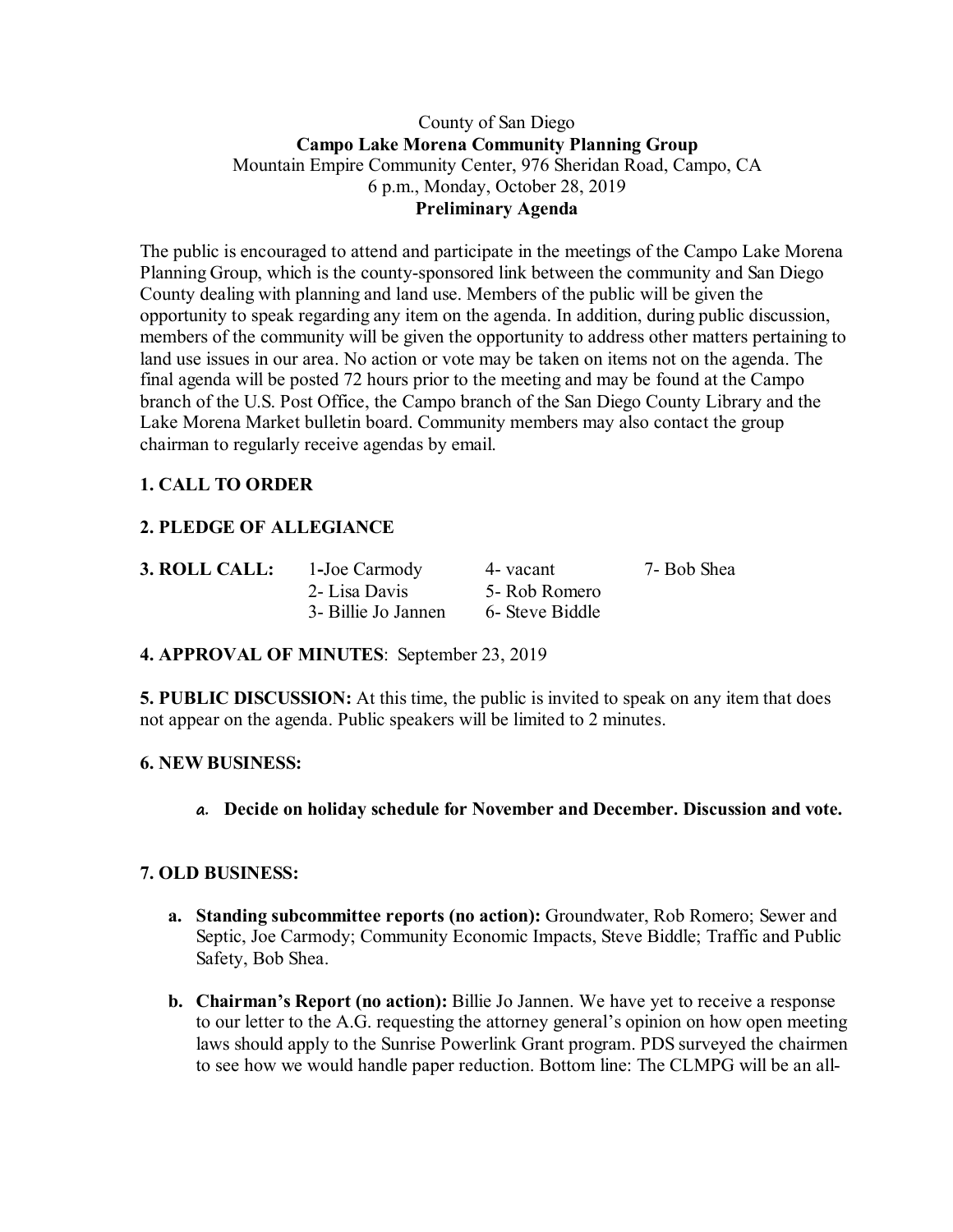#### County of San Diego **Campo Lake Morena Community Planning Group** Mountain Empire Community Center, 976 Sheridan Road, Campo, CA 6 p.m., Monday, October 28, 2019 **Preliminary Agenda**

The public is encouraged to attend and participate in the meetings of the Campo Lake Morena Planning Group, which is the county-sponsored link between the community and San Diego County dealing with planning and land use. Members of the public will be given the opportunity to speak regarding any item on the agenda. In addition, during public discussion, members of the community will be given the opportunity to address other matters pertaining to land use issues in our area. No action or vote may be taken on items not on the agenda. The final agenda will be posted 72 hours prior to the meeting and may be found at the Campo branch of the U.S. Post Office, the Campo branch of the San Diego County Library and the Lake Morena Market bulletin board. Community members may also contact the group chairman to regularly receive agendas by email.

## **1. CALL TO ORDER**

# **2. PLEDGE OF ALLEGIANCE**

| 3. ROLL CALL: | 1-Joe Carmody       | 4- vacant       | 7- Bob Shea |
|---------------|---------------------|-----------------|-------------|
|               | 2- Lisa Davis       | 5- Rob Romero   |             |
|               | 3- Billie Jo Jannen | 6- Steve Biddle |             |

## **4. APPROVAL OF MINUTES**: September 23, 2019

**5. PUBLIC DISCUSSION:** At this time, the public is invited to speak on any item that does not appear on the agenda. Public speakers will be limited to 2 minutes.

### **6. NEW BUSINESS:**

**a. Decide on holiday schedule for November and December. Discussion and vote.**

### **7. OLD BUSINESS:**

- **a. Standing subcommittee reports (no action):** Groundwater, Rob Romero; Sewer and Septic, Joe Carmody; Community Economic Impacts, Steve Biddle; Traffic and Public Safety, Bob Shea.
- **b. Chairman's Report (no action):** Billie Jo Jannen. We have yet to receive a response to our letter to the A.G. requesting the attorney general's opinion on how open meeting laws should apply to the Sunrise Powerlink Grant program. PDS surveyed the chairmen to see how we would handle paper reduction. Bottom line: The CLMPG will be an all-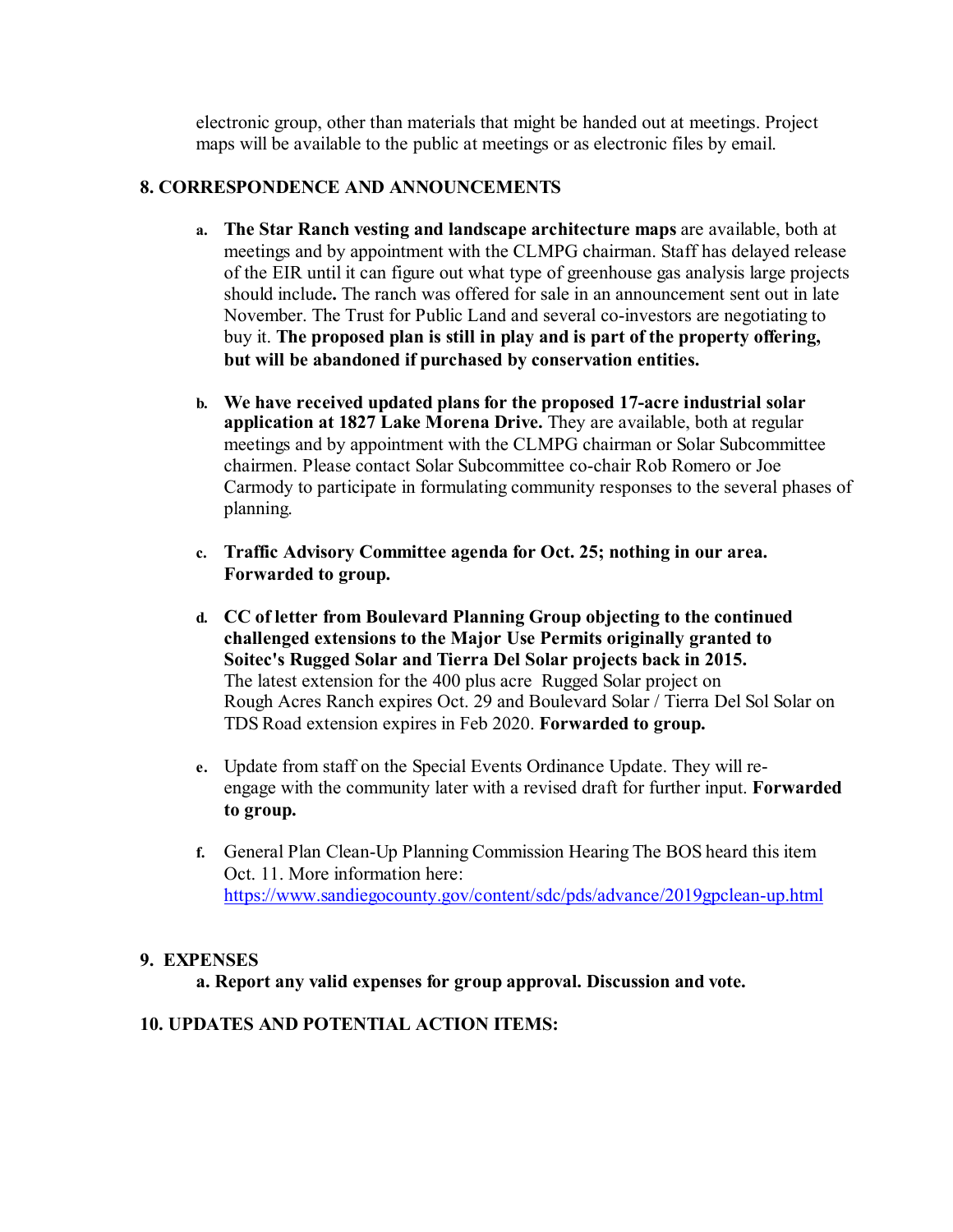electronic group, other than materials that might be handed out at meetings. Project maps will be available to the public at meetings or as electronic files by email.

#### **8. CORRESPONDENCE AND ANNOUNCEMENTS**

- **a. The Star Ranch vesting and landscape architecture maps** are available, both at meetings and by appointment with the CLMPG chairman. Staff has delayed release of the EIR until it can figure out what type of greenhouse gas analysis large projects should include**.** The ranch was offered for sale in an announcement sent out in late November. The Trust for Public Land and several co-investors are negotiating to buy it. **The proposed plan is still in play and is part of the property offering, but will be abandoned if purchased by conservation entities.**
- **b. We have received updated plans for the proposed 17-acre industrial solar application at 1827 Lake Morena Drive.** They are available, both at regular meetings and by appointment with the CLMPG chairman or Solar Subcommittee chairmen. Please contact Solar Subcommittee co-chair Rob Romero or Joe Carmody to participate in formulating community responses to the several phases of planning.
- **c. Traffic Advisory Committee agenda for Oct. 25; nothing in our area. Forwarded to group.**
- **d. CC of letter from Boulevard Planning Group objecting to the continued challenged extensions to the Major Use Permits originally granted to Soitec's Rugged Solar and Tierra Del Solar projects back in 2015.** The latest extension for the 400 plus acre Rugged Solar project on Rough Acres Ranch expires Oct. 29 and Boulevard Solar / Tierra Del Sol Solar on TDS Road extension expires in Feb 2020. **Forwarded to group.**
- **e.** Update from staff on the Special Events Ordinance Update. They will reengage with the community later with a revised draft for further input. **Forwarded to group.**
- **f.** General Plan Clean-Up Planning Commission Hearing The BOS heard this item Oct. 11. More information here: https://www.sandiegocounty.gov/content/sdc/pds/advance/2019gpclean-up.html

#### **9. EXPENSES**

**a. Report any valid expenses for group approval. Discussion and vote.**

### **10. UPDATES AND POTENTIAL ACTION ITEMS:**